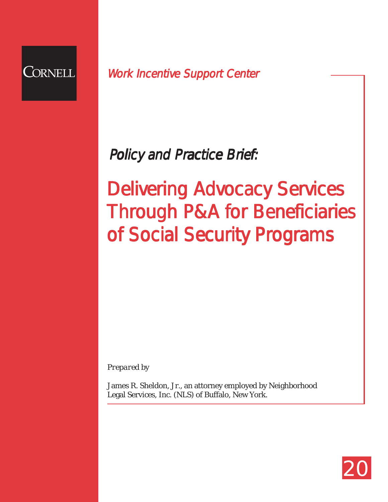

# Work Incentive Support Center<br>Policy and Practice Brief:<br>Work Incentive Support Center

Delivering Advocacy Services Through P&A for Beneficiaries of Social Security Programs

*Prepared by*

James R. Sheldon, Jr., an attorney employed by Neighborhood Legal Services, Inc. (NLS) of Buffalo, New York.

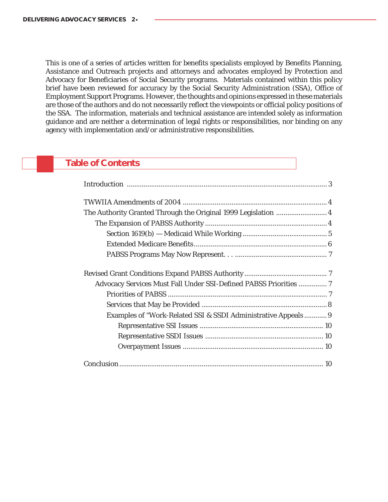This is one of a series of articles written for benefits specialists employed by Benefits Planning, Assistance and Outreach projects and attorneys and advocates employed by Protection and Advocacy for Beneficiaries of Social Security programs. Materials contained within this policy brief have been reviewed for accuracy by the Social Security Administration (SSA), Office of Employment Support Programs. However, the thoughts and opinions expressed in these materials are those of the authors and do not necessarily reflect the viewpoints or official policy positions of the SSA. The information, materials and technical assistance are intended solely as information guidance and are neither a determination of legal rights or responsibilities, nor binding on any agency with implementation and/or administrative responsibilities.

# **Table of Contents**

| Advocacy Services Must Fall Under SSI-Defined PABSS Priorities  7 |  |
|-------------------------------------------------------------------|--|
|                                                                   |  |
|                                                                   |  |
| Examples of "Work-Related SSI & SSDI Administrative Appeals 9     |  |
|                                                                   |  |
|                                                                   |  |
|                                                                   |  |
|                                                                   |  |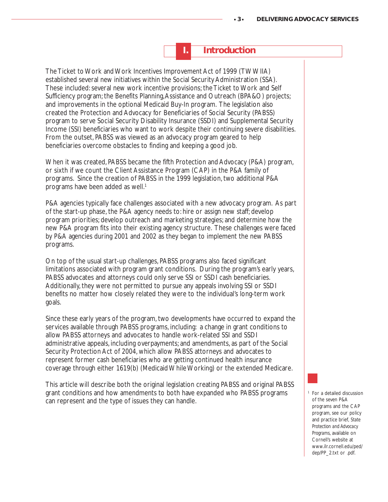**I. Introduction**

The Ticket to Work and Work Incentives Improvement Act of 1999 (TWWIIA) established several new initiatives within the Social Security Administration (SSA). These included: several new work incentive provisions; the Ticket to Work and Self Sufficiency program; the Benefits Planning, Assistance and Outreach (BPA&O) projects; and improvements in the optional Medicaid Buy-In program. The legislation also created the Protection and Advocacy for Beneficiaries of Social Security (PABSS) program to serve Social Security Disability Insurance (SSDI) and Supplemental Security Income (SSI) beneficiaries who want to work despite their continuing severe disabilities. From the outset, PABSS was viewed as an advocacy program geared to help beneficiaries overcome obstacles to finding and keeping a good job.

When it was created, PABSS became the fifth Protection and Advocacy (P&A) program, or sixth if we count the Client Assistance Program (CAP) in the P&A family of programs. Since the creation of PABSS in the 1999 legislation, two additional P&A programs have been added as well.<sup>1</sup>

P&A agencies typically face challenges associated with a new advocacy program. As part of the start-up phase, the P&A agency needs to: hire or assign new staff; develop program priorities; develop outreach and marketing strategies; and determine how the new P&A program fits into their existing agency structure. These challenges were faced by P&A agencies during 2001 and 2002 as they began to implement the new PABSS programs.

On top of the usual start-up challenges, PABSS programs also faced significant limitations associated with program grant conditions. During the program's early years, PABSS advocates and attorneys could only serve SSI or SSDI cash beneficiaries. Additionally, they were not permitted to pursue any appeals involving SSI or SSDI benefits no matter how closely related they were to the individual's long-term work goals.

Since these early years of the program, two developments have occurred to expand the services available through PABSS programs, including: a change in grant conditions to allow PABSS attorneys and advocates to handle work-related SSI and SSDI administrative appeals, including overpayments; and amendments, as part of the Social Security Protection Act of 2004, which allow PABSS attorneys and advocates to represent former cash beneficiaries who are getting continued health insurance coverage through either 1619(b) (Medicaid While Working) or the extended Medicare.

This article will describe both the original legislation creating PABSS and original PABSS grant conditions and how amendments to both have expanded who PABSS programs can represent and the type of issues they can handle.

<sup>1</sup> For a detailed discussion of the seven P&A programs and the CAP program, see our policy and practice brief, *State Protection and Advocacy Programs*, available on Cornell's website at www.ilr.cornell.edu/ped/ dep/PP\_2.txt or .pdf.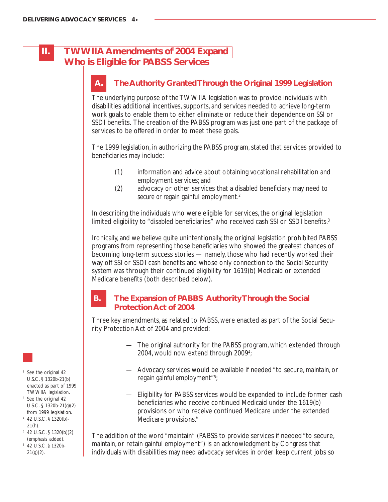# **II. TWWIIA Amendments of 2004 Expand Who is Eligible for PABSS Services**

# **The Authority Granted Through the Original 1999 Legislation**

The underlying purpose of the TWWIIA legislation was to provide individuals with disabilities additional incentives, supports, and services needed to achieve long-term work goals to enable them to either eliminate or reduce their dependence on SSI or SSDI benefits. The creation of the PABSS program was just one part of the package of services to be offered in order to meet these goals.

The 1999 legislation, in authorizing the PABSS program, stated that services provided to beneficiaries may include:

- (1) information and advice about obtaining vocational rehabilitation and employment services; and
- (2) advocacy or other services that a disabled beneficiary may need to *secure or regain* gainful employment.2

In describing the individuals who were eligible for services, the original legislation limited eligibility to "disabled beneficiaries" who received cash SSI or SSDI benefits.<sup>3</sup>

Ironically, and we believe quite unintentionally, the original legislation prohibited PABSS programs from representing those beneficiaries who showed the greatest chances of becoming long-term success stories — namely, those who had recently worked their way off SSI or SSDI cash benefits and whose only connection to the Social Security system was through their continued eligibility for 1619(b) Medicaid or extended Medicare benefits (both described below).

# **B. The Expansion of PABBS Authority Through the Social Protection Act of 2004**

Three key amendments, as related to PABSS, were enacted as part of the Social Security Protection Act of 2004 and provided:

- The original authority for the PABSS program, which extended through 2004, would now extend through 2009<sup>4</sup>;
- Advocacy services would be available if needed "to secure, *maintain*, or regain gainful employment"<sup>5</sup>;
- Eligibility for PABSS services would be expanded to include former cash beneficiaries who receive continued Medicaid under the 1619(b) provisions or who receive continued Medicare under the extended Medicare provisions.<sup>6</sup>

The addition of the word "maintain" (PABSS to provide services if needed "to secure, *maintain*, or retain gainful employment") is an acknowledgment by Congress that individuals with disabilities may need advocacy services in order keep current jobs so



- <sup>2</sup> See the original 42 U.S.C. § 1320b-21(b) enacted as part of 1999 TWWIIA legislation.
- <sup>3</sup> See the original 42 U.S.C. § 1320b-21(g)(2) from 1999 legislation.
- <sup>4</sup> 42 U.S.C. § 1320(b)- 21(h).
- <sup>5</sup> 42 U.S.C. § 1320(b)(2) (emphasis added).
- <sup>6</sup> 42 U.S.C. § 1320b- $21(g)(2)$ .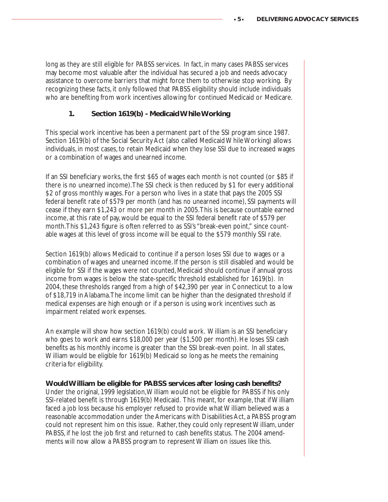long as they are still eligible for PABSS services. In fact, in many cases PABSS services may become most valuable after the individual has secured a job and needs advocacy assistance to overcome barriers that might force them to otherwise stop working. By recognizing these facts, it only followed that PABSS eligibility should include individuals who are benefiting from work incentives allowing for continued Medicaid or Medicare.

# **1. Section 1619(b) - Medicaid While Working**

This special work incentive has been a permanent part of the SSI program since 1987. Section 1619(b) of the Social Security Act (also called Medicaid While Working) allows individuals, in most cases, to retain Medicaid when they lose SSI due to increased wages or a combination of wages and unearned income.

If an SSI beneficiary works, the first \$65 of wages each month is not counted (or \$85 if there is no unearned income). The SSI check is then reduced by \$1 for every additional \$2 of gross monthly wages. For a person who lives in a state that pays the 2005 SSI federal benefit rate of \$579 per month (and has no unearned income), SSI payments will cease if they earn \$1,243 or more per month in 2005. This is because countable earned income, at this rate of pay, would be equal to the SSI federal benefit rate of \$579 per month. This \$1,243 figure is often referred to as SSI's "break-even point," since countable wages at this level of gross income will be equal to the \$579 monthly SSI rate.

Section 1619(b) allows Medicaid to continue if a person loses SSI due to wages or a combination of wages and unearned income. If the person is still disabled and would be eligible for SSI if the wages were not counted, Medicaid should continue if annual gross income from wages is below the state-specific threshold established for 1619(b). In 2004, these thresholds ranged from a high of \$42,390 per year in Connecticut to a low of \$18,719 in Alabama. The income limit can be higher than the designated threshold if medical expenses are high enough or if a person is using work incentives such as impairment related work expenses.

An example will show how section 1619(b) could work. William is an SSI beneficiary who goes to work and earns \$18,000 per year (\$1,500 per month). He loses SSI cash benefits as his monthly income is greater than the SSI break-even point. In all states, William would be eligible for 1619(b) Medicaid so long as he meets the remaining criteria for eligibility.

#### **Would William be eligible for PABSS services after losing cash benefits?**

Under the original, 1999 legislation, William would not be eligible for PABSS if his only SSI-related benefit is through 1619(b) Medicaid. This meant, for example, that if William faced a job loss because his employer refused to provide what William believed was a reasonable accommodation under the Americans with Disabilities Act, a PABSS program could not represent him on this issue. Rather, they could only represent William, under PABSS, if he lost the job first and returned to cash benefits status. The 2004 amendments will now allow a PABSS program to represent William on issues like this.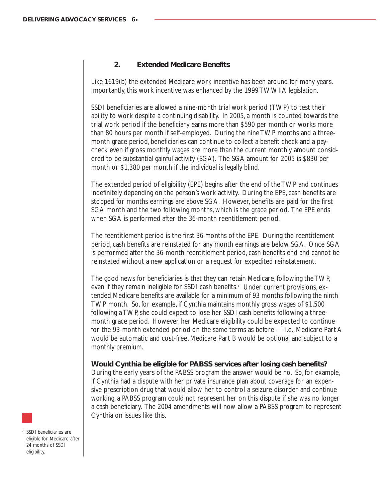# **2. Extended Medicare Benefits**

Like 1619(b) the extended Medicare work incentive has been around for many years. Importantly, this work incentive was enhanced by the 1999 TWWIIA legislation.

SSDI beneficiaries are allowed a nine-month trial work period (TWP) to test their ability to work despite a continuing disability. In 2005, a month is counted towards the trial work period if the beneficiary earns more than \$590 per month or works more than 80 hours per month if self-employed. During the nine TWP months and a threemonth grace period, beneficiaries can continue to collect a benefit check and a paycheck even if gross monthly wages are more than the current monthly amount considered to be substantial gainful activity (SGA). The SGA amount for 2005 is \$830 per month or \$1,380 per month if the individual is legally blind.

The extended period of eligibility (EPE) begins after the end of the TWP and continues indefinitely depending on the person's work activity. During the EPE, cash benefits are stopped for months earnings are above SGA. However, benefits are paid for the first SGA month and the two following months, which is the grace period. The EPE ends when SGA is performed after the 36-month reentitlement period.

The reentitlement period is the first 36 months of the EPE. During the reentitlement period, cash benefits are reinstated for any month earnings are below SGA. Once SGA is performed after the 36-month reentitlement period, cash benefits end and cannot be reinstated without a new application or a request for expedited reinstatement.

The good news for beneficiaries is that they can retain Medicare, following the TWP, even if they remain ineligible for SSDI cash benefits.<sup>7</sup> Under current provisions, extended Medicare benefits are available for a minimum of 93 months following the ninth TWP month. So, for example, if Cynthia maintains monthly gross wages of \$1,500 following a TWP, she could expect to lose her SSDI cash benefits following a threemonth grace period. However, her Medicare eligibility could be expected to continue for the 93-month extended period on the same terms as before — i.e., Medicare Part A would be automatic and cost-free, Medicare Part B would be optional and subject to a monthly premium.

**Would Cynthia be eligible for PABSS services after losing cash benefits?**

During the early years of the PABSS program the answer would be no. So, for example, if Cynthia had a dispute with her private insurance plan about coverage for an expensive prescription drug that would allow her to control a seizure disorder and continue working, a PABSS program could not represent her on this dispute if she was no longer a cash beneficiary. The 2004 amendments will now allow a PABSS program to represent Cynthia on issues like this.

<sup>7</sup> SSDI beneficiaries are eligible for Medicare after 24 months of SSDI eligibility.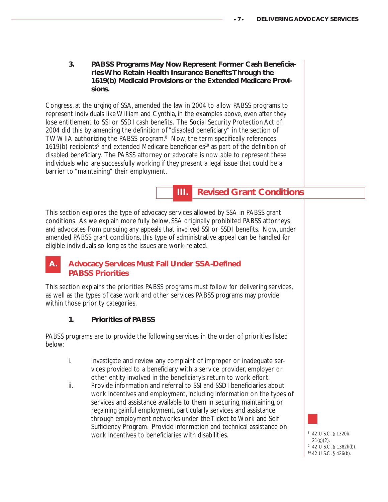**3. PABSS Programs May Now Represent Former Cash Beneficiaries Who Retain Health Insurance Benefits Through the 1619(b) Medicaid Provisions or the Extended Medicare Provisions.**

Congress, at the urging of SSA, amended the law in 2004 to allow PABSS programs to represent individuals like William and Cynthia, in the examples above, even after they lose entitlement to SSI or SSDI cash benefits. The Social Security Protection Act of 2004 did this by amending the definition of "disabled beneficiary" in the section of TWWIIA authorizing the PABSS program.<sup>8</sup> Now, the term specifically references 1619(b) recipients<sup>9</sup> and extended Medicare beneficiaries<sup>10</sup> as part of the definition of disabled beneficiary. The PABSS attorney or advocate is now able to represent these individuals who are successfully working if they present a legal issue that could be a barrier to "maintaining" their employment.

# **III. Revised Grant Conditions**

This section explores the type of advocacy services allowed by SSA in PABSS grant conditions. As we explain more fully below, SSA originally prohibited PABSS attorneys and advocates from pursuing any appeals that involved SSI or SSDI benefits. Now, under amended PABSS grant conditions, this type of administrative appeal can be handled for eligible individuals so long as the issues are work-related.

# **Advocacy Services Must Fall Under SSA-Defined PABSS Priorities**

This section explains the priorities PABSS programs must follow for delivering services, as well as the types of case work and other services PABSS programs may provide within those priority categories.

# **1. Priorities of PABSS**

PABSS programs are to provide the following services in the order of priorities listed below:

- i. Investigate and review any complaint of improper or inadequate services provided to a beneficiary with a service provider, employer or other entity involved in the beneficiary's return to work effort.
- ii. Provide information and referral to SSI and SSDI beneficiaries about work incentives and employment, including information on the types of services and assistance available to them in securing, maintaining, or regaining gainful employment, particularly services and assistance through employment networks under the Ticket to Work and Self Sufficiency Program. Provide information and technical assistance on work incentives to beneficiaries with disabilities.

 42 U.S.C. § 1320b- $21(q)(2)$ . 42 U.S.C. § 1382h(b). 42 U.S.C. § 426(b).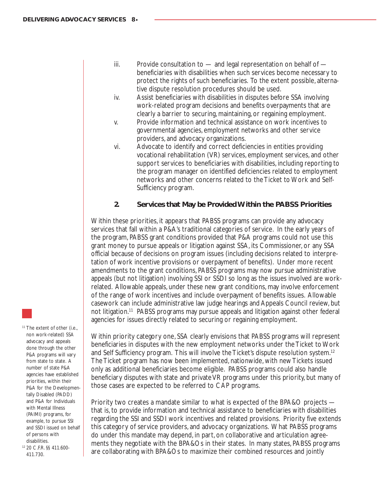- iii. Provide consultation to and legal representation on behalf of beneficiaries with disabilities when such services become necessary to protect the rights of such beneficiaries. To the extent possible, alternative dispute resolution procedures should be used.
- iv. Assist beneficiaries with disabilities in disputes before SSA involving work-related program decisions and benefits overpayments that are clearly a barrier to securing, maintaining, or regaining employment.
- v. Provide information and technical assistance on work incentives to governmental agencies, employment networks and other service providers, and advocacy organizations.
- vi. Advocate to identify and correct deficiencies in entities providing vocational rehabilitation (VR) services, employment services, and other support services to beneficiaries with disabilities, including reporting to the program manager on identified deficiencies related to employment networks and other concerns related to the Ticket to Work and Self-Sufficiency program.

#### **2. Services that May be Provided Within the PABSS Priorities**

Within these priorities, it appears that PABSS programs can provide any advocacy services that fall within a P&A's traditional categories of service. In the early years of the program, PABSS grant conditions provided that P&A programs could not use this grant money to pursue appeals or litigation against SSA, its Commissioner, or any SSA official because of decisions on program issues (including decisions related to interpretation of work incentive provisions or overpayment of benefits). Under more recent amendments to the grant conditions, PABSS programs may now pursue administrative appeals (but not litigation) involving SSI or SSDI so long as the issues involved are workrelated. Allowable appeals, under these new grant conditions, may involve enforcement of the range of work incentives and include overpayment of benefits issues. Allowable casework can include administrative law judge hearings and Appeals Council review, but not litigation.<sup>11</sup> PABSS programs may pursue appeals and litigation against other federal agencies for issues directly related to securing or regaining employment.

Within priority category one, SSA clearly envisions that PABSS programs will represent beneficiaries in disputes with the new employment networks under the Ticket to Work and Self Sufficiency program. This will involve the Ticket's dispute resolution system.12 The Ticket program has now been implemented, nationwide, with new Tickets issued only as additional beneficiaries become eligible. PABSS programs could also handle beneficiary disputes with state and private VR programs under this priority, but many of those cases are expected to be referred to CAP programs.

Priority two creates a mandate similar to what is expected of the BPA&O projects that is, to provide information and technical assistance to beneficiaries with disabilities regarding the SSI and SSDI work incentives and related provisions. Priority five extends this category of service providers, and advocacy organizations. What PABSS programs do under this mandate may depend, in part, on collaborative and articulation agreements they negotiate with the BPA&Os in their states. In many states, PABSS programs are collaborating with BPA&Os to maximize their combined resources and jointly

<sup>11</sup> The extent of other (i.e., non work-related) SSA advocacy and appeals done through the other P&A programs will vary from state to state. A number of state P&A agencies have established priorities, within their P&A for the Developmentally Disabled (PADD) and P&A for Individuals with Mental Illness (PAIMI) programs, for example, to pursue SSI and SSDI issued on behalf of persons with disabilities.

<sup>12</sup> 20 C.F.R. §§ 411.600- 411.730.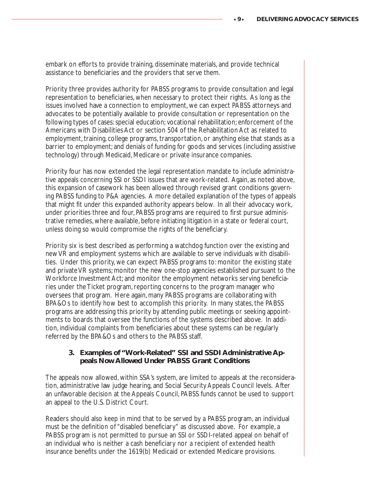embark on efforts to provide training, disseminate materials, and provide technical assistance to beneficiaries and the providers that serve them.

Priority three provides authority for PABSS programs to provide consultation and legal representation to beneficiaries, when necessary to protect their rights. As long as the issues involved have a connection to employment, we can expect PABSS attorneys and advocates to be potentially available to provide consultation or representation on the following types of cases: special education; vocational rehabilitation; enforcement of the Americans with Disabilities Act or section 504 of the Rehabilitation Act as related to employment, training, college programs, transportation, or anything else that stands as a barrier to employment; and denials of funding for goods and services (including assistive technology) through Medicaid, Medicare or private insurance companies.

Priority four has now extended the legal representation mandate to include administrative appeals concerning SSI or SSDI issues that are work-related. Again, as noted above, this expansion of casework has been allowed through revised grant conditions governing PABSS funding to P&A agencies. A more detailed explanation of the types of appeals that might fit under this expanded authority appears below. In all their advocacy work, under priorities three and four, PABSS programs are required to first pursue administrative remedies, where available, before initiating litigation in a state or federal court, unless doing so would compromise the rights of the beneficiary.

Priority six is best described as performing a watchdog function over the existing and new VR and employment systems which are available to serve individuals with disabilities. Under this priority, we can expect PABSS programs to: monitor the existing state and private VR systems; monitor the new one-stop agencies established pursuant to the Workforce Investment Act; and monitor the employment networks serving beneficiaries under the Ticket program, reporting concerns to the program manager who oversees that program. Here again, many PABSS programs are collaborating with BPA&Os to identify how best to accomplish this priority. In many states, the PABSS programs are addressing this priority by attending public meetings or seeking appointments to boards that oversee the functions of the systems described above. In addition, individual complaints from beneficiaries about these systems can be regularly referred by the BPA&Os and others to the PABSS staff.

## **3. Examples of "Work-Related" SSI and SSDI Administrative Appeals Now Allowed Under PABSS Grant Conditions**

The appeals now allowed, within SSA's system, are limited to appeals at the reconsideration, administrative law judge hearing, and Social Security Appeals Council levels. After an unfavorable decision at the Appeals Council, PABSS funds cannot be used to support an appeal to the U.S. District Court.

Readers should also keep in mind that to be served by a PABSS program, an individual must be the definition of "disabled beneficiary" as discussed above. For example, a PABSS program is not permitted to pursue an SSI or SSDI-related appeal on behalf of an individual who is neither a cash beneficiary nor a recipient of extended health insurance benefits under the 1619(b) Medicaid or extended Medicare provisions.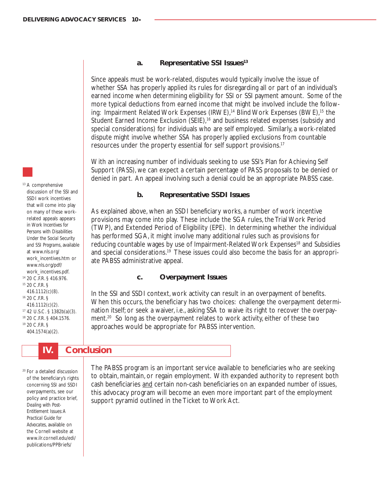#### **a. Representative SSI Issues13**

Since appeals must be work-related, disputes would typically involve the issue of whether SSA has properly applied its rules for disregarding all or part of an individual's earned income when determining eligibility for SSI or SSI payment amount. Some of the more typical deductions from earned income that might be involved include the following: Impairment Related Work Expenses (IRWE),<sup>14</sup> Blind Work Expenses (BWE),<sup>15</sup> the Student Earned Income Exclusion (SEIE),<sup>16</sup> and business related expenses (subsidy and special considerations) for individuals who are self employed. Similarly, a work-related dispute might involve whether SSA has properly applied exclusions from countable resources under the property essential for self support provisions.17

With an increasing number of individuals seeking to use SSI's Plan for Achieving Self Support (PASS), we can expect a certain percentage of PASS proposals to be denied or denied in part. An appeal involving such a denial could be an appropriate PABSS case.

### **b. Representative SSDI Issues**

As explained above, when an SSDI beneficiary works, a number of work incentive provisions may come into play. These include the SGA rules, the Trial Work Period (TWP), and Extended Period of Eligibility (EPE). In determining whether the individual has performed SGA, it might involve many additional rules such as provisions for reducing countable wages by use of Impairment-Related Work Expenses<sup>18</sup> and Subsidies and special considerations.<sup>19</sup> These issues could also become the basis for an appropriate PABSS administrative appeal.

#### **c. Overpayment Issues**

In the SSI and SSDI context, work activity can result in an overpayment of benefits. When this occurs, the beneficiary has two choices: challenge the overpayment determination itself; or seek a waiver, i.e., asking SSA to waive its right to recover the overpayment.<sup>20</sup> So long as the overpayment relates to work activity, either of these two approaches would be appropriate for PABSS intervention.

 **IV. Conclusion**

<sup>20</sup> For a detailed discussion of the beneficiary's rights concerning SSI and SSDI overpayments, see our policy and practice brief, *Dealing with Post-Entitlement Issues: A Practical Guide for Advocates*, available on the Cornell website at www.ilr.cornell.edu/edi/ publications/PPBriefs/

The PABSS program is an important service available to beneficiaries who are seeking to obtain, maintain, or regain employment. With expanded authority to represent both cash beneficiaries and certain non-cash beneficiaries on an expanded number of issues, this advocacy program will become an even more important part of the employment support pyramid outlined in the Ticket to Work Act.

discussion of the SSI and SSDI work incentives that will come into play on many of these workrelated appeals appears in *Work Incentives for Persons with Disabilities Under the Social Security and SSI Programs*, available at www.nls.org/ work\_incentives.htm or www.nls.org/pdf/ work\_incentives.pdf. <sup>14</sup> 20 C.F.R. § 416.976.

<sup>13</sup> A comprehensive

- <sup>15</sup> 20 C.F.R. § 416.1112(c)(8).
- <sup>16</sup> 20 C.F.R. § 416.1112(c)(2). <sup>17</sup> 42 U.S.C. § 1382b(a)(3). <sup>18</sup> 20 C.F.R. § 404.1576. <sup>19</sup> 20 C.F.R. §
- 404.1574(a)(2).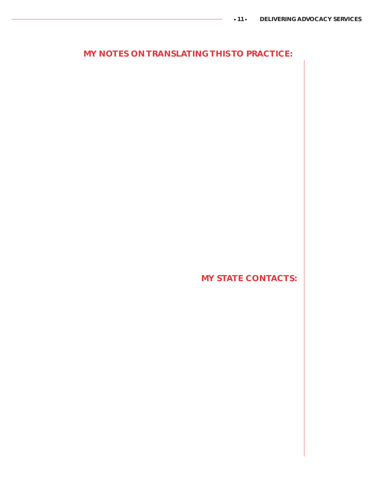# **MY NOTES ON TRANSLATING THIS TO PRACTICE:**

**MY STATE CONTACTS:**